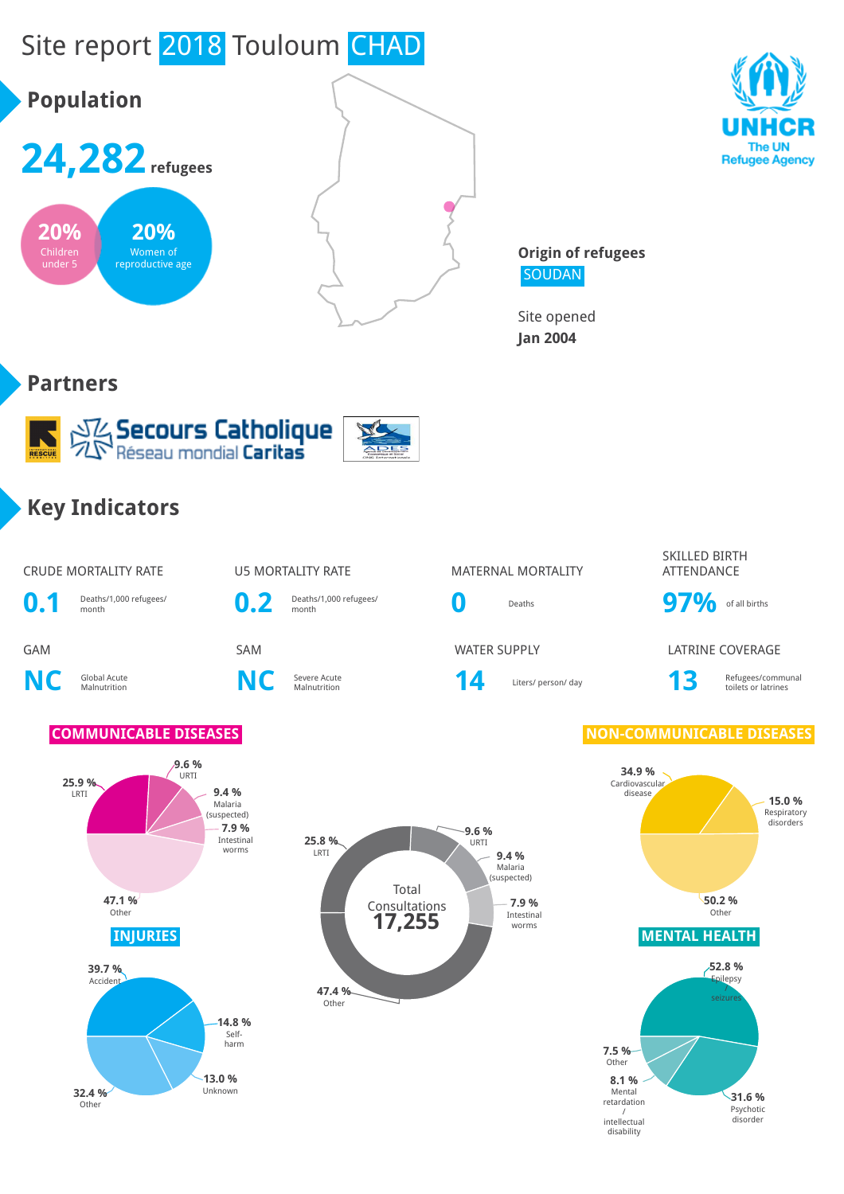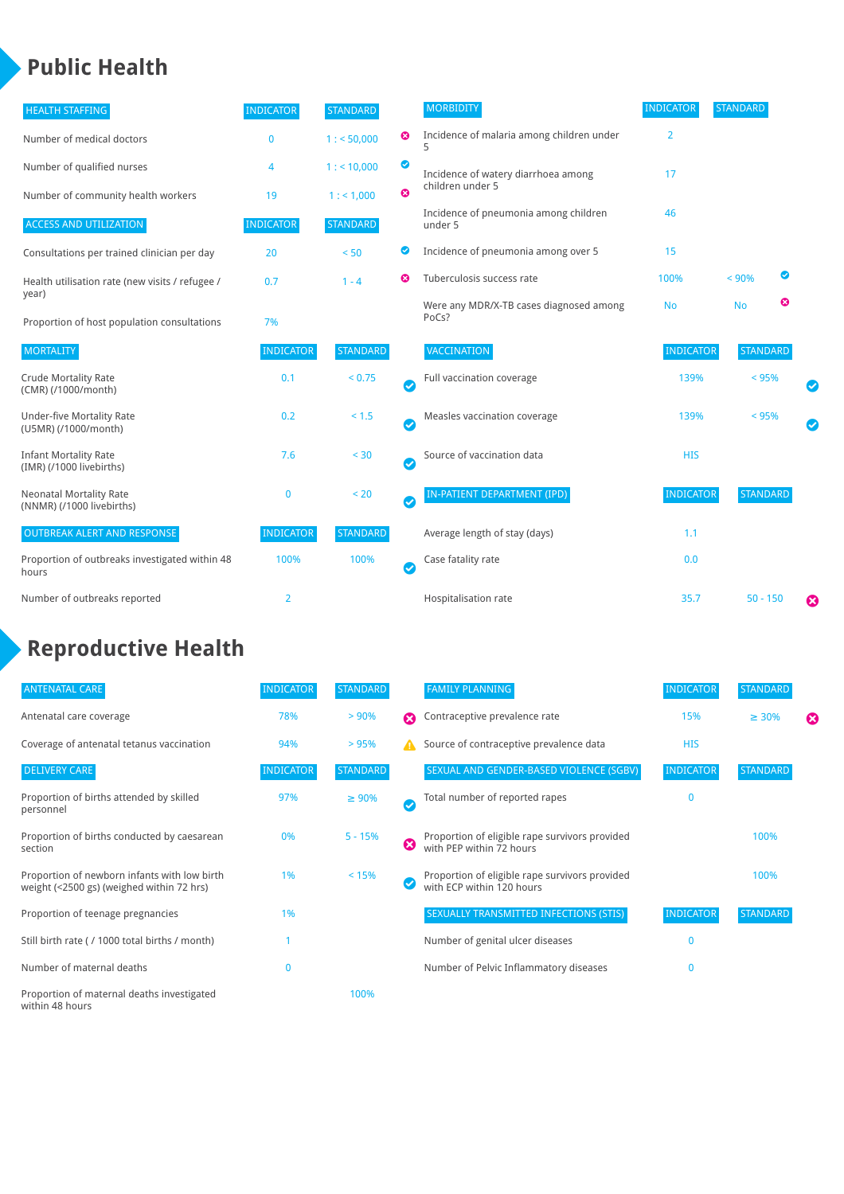### **Public Health**

| <b>HEALTH STAFFING</b>                                      | <b>INDICATOR</b> | <b>STANDARD</b> |                            | <b>MORBIDITY</b>                                 | <b>INDICATOR</b> | <b>STANDARD</b> |   |           |
|-------------------------------------------------------------|------------------|-----------------|----------------------------|--------------------------------------------------|------------------|-----------------|---|-----------|
| Number of medical doctors                                   | $\mathbf{0}$     | 1: 50,000       | ☺                          | Incidence of malaria among children under        | $\overline{2}$   |                 |   |           |
| Number of qualified nurses                                  | 4                | $1:$ < 10,000   | ◎                          | Incidence of watery diarrhoea among              | 17               |                 |   |           |
| Number of community health workers                          | 19               | 1: 1,000        | ೞ                          | children under 5                                 |                  |                 |   |           |
| <b>ACCESS AND UTILIZATION</b>                               | <b>INDICATOR</b> | <b>STANDARD</b> |                            | Incidence of pneumonia among children<br>under 5 | 46               |                 |   |           |
| Consultations per trained clinician per day                 | 20               | < 50            | ◙                          | Incidence of pneumonia among over 5              | 15               |                 |   |           |
| Health utilisation rate (new visits / refugee /             | 0.7              | $1 - 4$         | Ø                          | Tuberculosis success rate                        | 100%             | < 90%           | Ø |           |
| year)<br>Proportion of host population consultations        | 7%               |                 |                            | Were any MDR/X-TB cases diagnosed among<br>PoCs? | <b>No</b>        | <b>No</b>       | ణ |           |
| <b>MORTALITY</b>                                            | <b>INDICATOR</b> | <b>STANDARD</b> |                            | <b>VACCINATION</b>                               | <b>INDICATOR</b> | <b>STANDARD</b> |   |           |
| <b>Crude Mortality Rate</b><br>(CMR) (/1000/month)          | 0.1              | < 0.75          | Ø                          | Full vaccination coverage                        | 139%             | < 95%           |   | Ø         |
| <b>Under-five Mortality Rate</b><br>(U5MR) (/1000/month)    | 0.2              | $< 1.5$         | Ø                          | Measles vaccination coverage                     | 139%             | < 95%           |   | $\bullet$ |
| <b>Infant Mortality Rate</b><br>(IMR) (/1000 livebirths)    | 7.6              | < 30            | $\boldsymbol{\mathcal{S}}$ | Source of vaccination data                       | <b>HIS</b>       |                 |   |           |
| <b>Neonatal Mortality Rate</b><br>(NNMR) (/1000 livebirths) | $\mathbf 0$      | < 20            | $\bullet$                  | IN-PATIENT DEPARTMENT (IPD)                      | <b>INDICATOR</b> | <b>STANDARD</b> |   |           |
| <b>OUTBREAK ALERT AND RESPONSE</b>                          | <b>INDICATOR</b> | <b>STANDARD</b> |                            | Average length of stay (days)                    | 1.1              |                 |   |           |
| Proportion of outbreaks investigated within 48<br>hours     | 100%             | 100%            | $\bullet$                  | Case fatality rate                               | 0.0              |                 |   |           |
| Number of outbreaks reported                                | $\overline{2}$   |                 |                            | Hospitalisation rate                             | 35.7             | $50 - 150$      |   | ☺         |

# **Reproductive Health**

| <b>ANTENATAL CARE</b>                                                                     | <b>INDICATOR</b> | <b>STANDARD</b> |                       | <b>FAMILY PLANNING</b>                                                      | <b>INDICATOR</b> | <b>STANDARD</b> |   |
|-------------------------------------------------------------------------------------------|------------------|-----------------|-----------------------|-----------------------------------------------------------------------------|------------------|-----------------|---|
| Antenatal care coverage                                                                   | 78%              | > 90%           | $\boldsymbol{\Omega}$ | Contraceptive prevalence rate                                               | 15%              | $\geq 30\%$     | ⊠ |
| Coverage of antenatal tetanus vaccination                                                 | 94%              | >95%            |                       | Source of contraceptive prevalence data                                     | <b>HIS</b>       |                 |   |
| <b>DELIVERY CARE</b>                                                                      | <b>INDICATOR</b> | <b>STANDARD</b> |                       | SEXUAL AND GENDER-BASED VIOLENCE (SGBV)                                     | <b>INDICATOR</b> | <b>STANDARD</b> |   |
| Proportion of births attended by skilled<br>personnel                                     | 97%              | $\geq 90\%$     | Ø                     | Total number of reported rapes                                              | $\mathbf{0}$     |                 |   |
| Proportion of births conducted by caesarean<br>section                                    | 0%               | $5 - 15%$       | ظ                     | Proportion of eligible rape survivors provided<br>with PEP within 72 hours  |                  | 100%            |   |
| Proportion of newborn infants with low birth<br>weight (<2500 gs) (weighed within 72 hrs) | 1%               | < 15%           |                       | Proportion of eligible rape survivors provided<br>with ECP within 120 hours |                  | 100%            |   |
| Proportion of teenage pregnancies                                                         | 1%               |                 |                       | SEXUALLY TRANSMITTED INFECTIONS (STIS)                                      | <b>INDICATOR</b> | <b>STANDARD</b> |   |
| Still birth rate (/ 1000 total births / month)                                            |                  |                 |                       | Number of genital ulcer diseases                                            | $\mathbf{0}$     |                 |   |
| Number of maternal deaths                                                                 | $\mathbf{0}$     |                 |                       | Number of Pelvic Inflammatory diseases                                      | $\mathbf{0}$     |                 |   |
| Proportion of maternal deaths investigated<br>within 48 hours                             |                  | 100%            |                       |                                                                             |                  |                 |   |